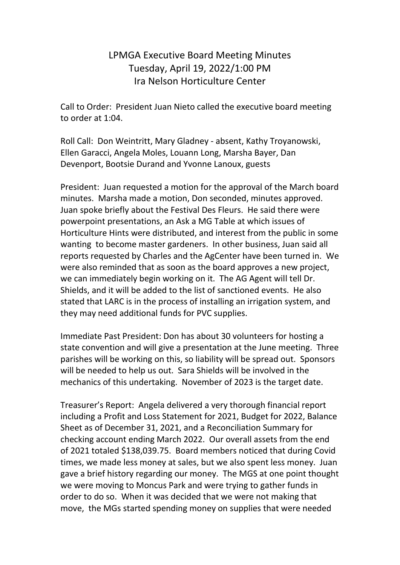## LPMGA Executive Board Meeting Minutes Tuesday, April 19, 2022/1:00 PM Ira Nelson Horticulture Center

Call to Order: President Juan Nieto called the executive board meeting to order at 1:04.

Roll Call: Don Weintritt, Mary Gladney - absent, Kathy Troyanowski, Ellen Garacci, Angela Moles, Louann Long, Marsha Bayer, Dan Devenport, Bootsie Durand and Yvonne Lanoux, guests

President: Juan requested a motion for the approval of the March board minutes. Marsha made a motion, Don seconded, minutes approved. Juan spoke briefly about the Festival Des Fleurs. He said there were powerpoint presentations, an Ask a MG Table at which issues of Horticulture Hints were distributed, and interest from the public in some wanting to become master gardeners. In other business, Juan said all reports requested by Charles and the AgCenter have been turned in. We were also reminded that as soon as the board approves a new project, we can immediately begin working on it. The AG Agent will tell Dr. Shields, and it will be added to the list of sanctioned events. He also stated that LARC is in the process of installing an irrigation system, and they may need additional funds for PVC supplies.

Immediate Past President: Don has about 30 volunteers for hosting a state convention and will give a presentation at the June meeting. Three parishes will be working on this, so liability will be spread out. Sponsors will be needed to help us out. Sara Shields will be involved in the mechanics of this undertaking. November of 2023 is the target date.

Treasurer's Report: Angela delivered a very thorough financial report including a Profit and Loss Statement for 2021, Budget for 2022, Balance Sheet as of December 31, 2021, and a Reconciliation Summary for checking account ending March 2022. Our overall assets from the end of 2021 totaled \$138,039.75. Board members noticed that during Covid times, we made less money at sales, but we also spent less money. Juan gave a brief history regarding our money. The MGS at one point thought we were moving to Moncus Park and were trying to gather funds in order to do so. When it was decided that we were not making that move, the MGs started spending money on supplies that were needed